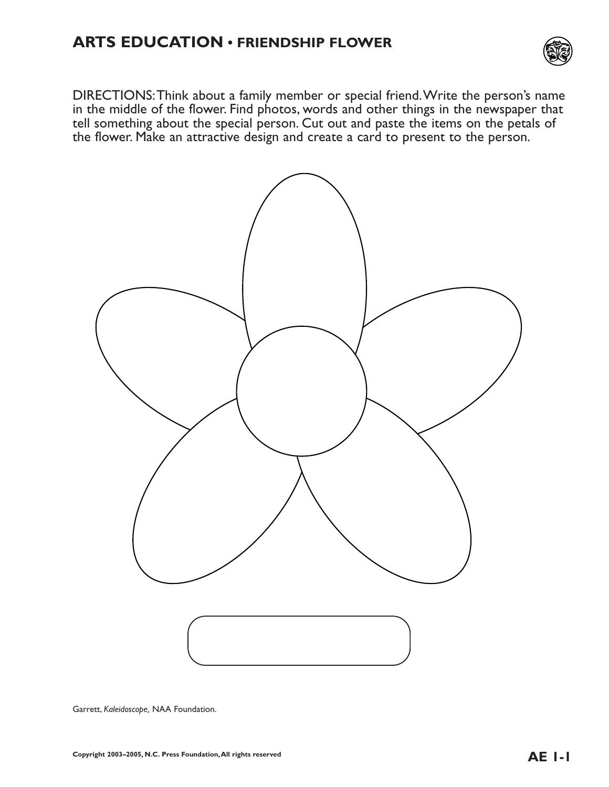

DIRECTIONS:Think about a family member or special friend.Write the person's name in the middle of the flower. Find photos, words and other things in the newspaper that tell something about the special person. Cut out and paste the items on the petals of the flower. Make an attractive design and create a card to present to the person.



Garrett, *Kaleidoscope,* NAA Foundation.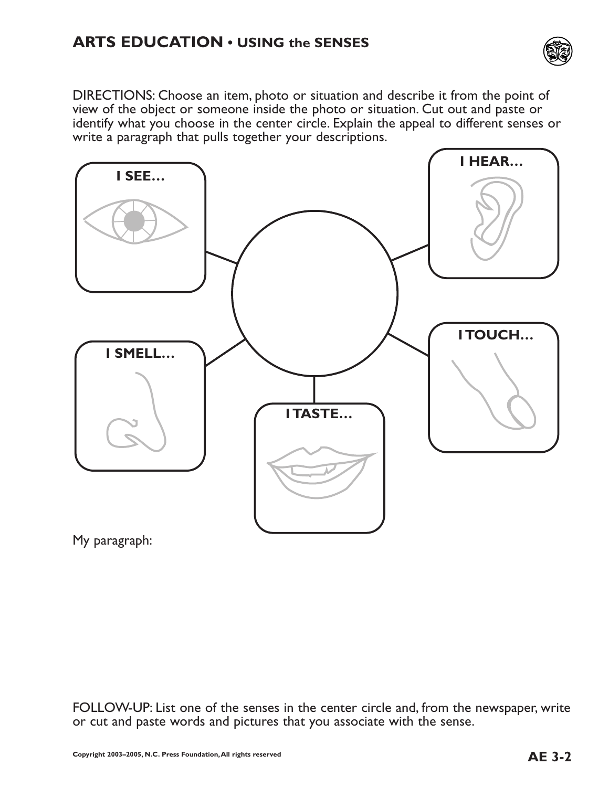

DIRECTIONS: Choose an item, photo or situation and describe it from the point of view of the object or someone inside the photo or situation. Cut out and paste or identify what you choose in the center circle. Explain the appeal to different senses or write a paragraph that pulls together your descriptions.



My paragraph:

FOLLOW-UP: List one of the senses in the center circle and, from the newspaper, write or cut and paste words and pictures that you associate with the sense.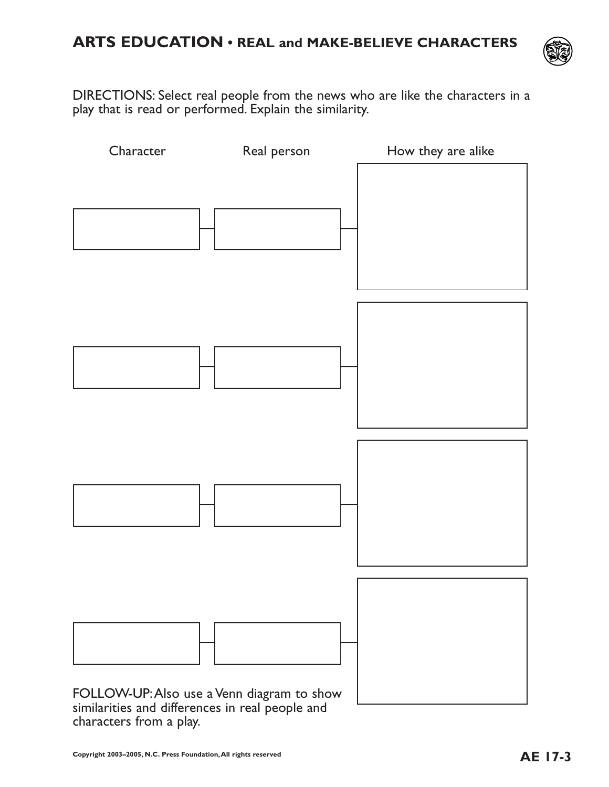

DIRECTIONS: Select real people from the news who are like the characters in a play that is read or performed. Explain the similarity.

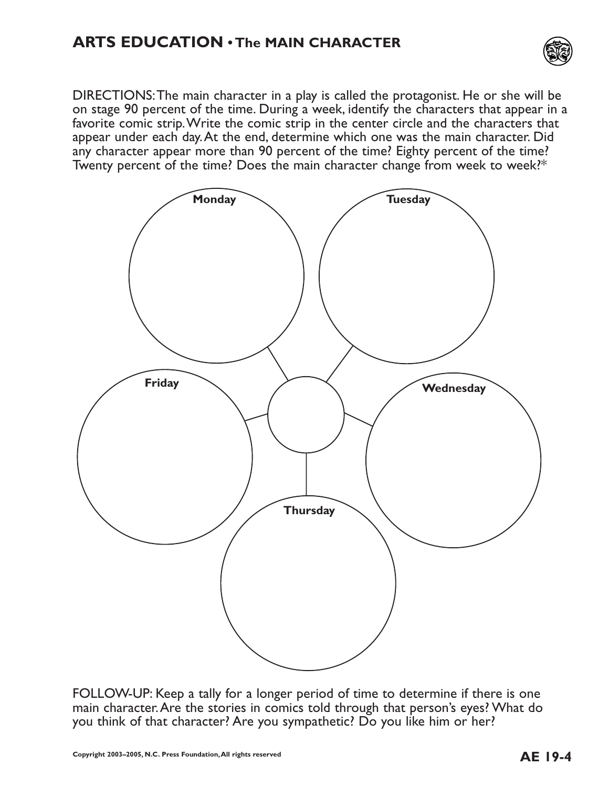## **ARTS EDUCATION • The MAIN CHARACTER**



DIRECTIONS:The main character in a play is called the protagonist. He or she will be on stage 90 percent of the time. During a week, identify the characters that appear in a favorite comic strip.Write the comic strip in the center circle and the characters that appear under each day.At the end, determine which one was the main character. Did any character appear more than 90 percent of the time? Eighty percent of the time? Twenty percent of the time? Does the main character change from week to week?\*



FOLLOW-UP: Keep a tally for a longer period of time to determine if there is one main character.Are the stories in comics told through that person's eyes? What do you think of that character? Are you sympathetic? Do you like him or her?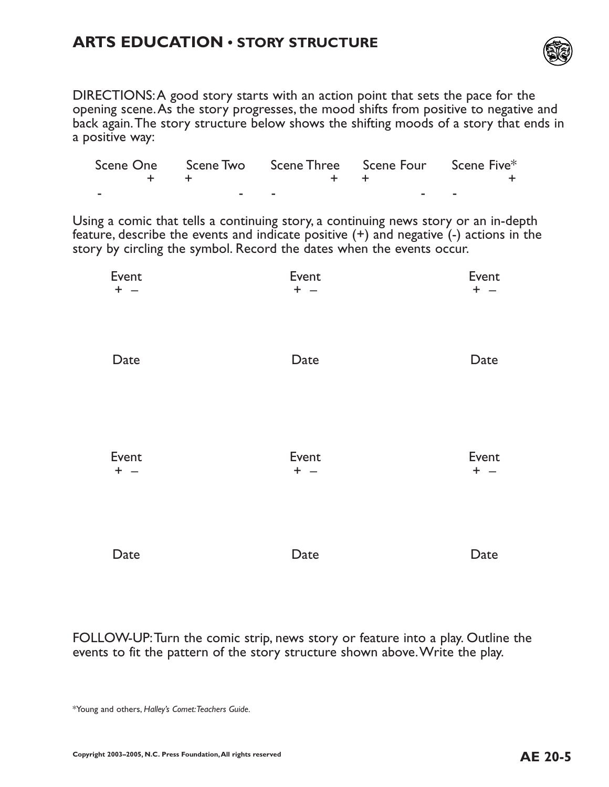#### **ARTS EDUCATION • STORY STRUCTURE**



DIRECTIONS:A good story starts with an action point that sets the pace for the opening scene.As the story progresses, the mood shifts from positive to negative and back again.The story structure below shows the shifting moods of a story that ends in a positive way:

|  | Scene One Scene Two Scene Three Scene Four Scene Five* |  |
|--|--------------------------------------------------------|--|
|  |                                                        |  |
|  | $\sim$                                                 |  |

Using a comic that tells a continuing story, a continuing news story or an in-depth feature, describe the events and indicate positive (+) and negative (-) actions in the story by circling the symbol. Record the dates when the events occur.

| Event | Event | Event |
|-------|-------|-------|
| $+ -$ | $+ -$ | $+ -$ |
| Date  | Date  | Date  |
| Event | Event | Event |
| $+ -$ | $+ -$ | $+ -$ |
| Date  | Date  | Date  |

FOLLOW-UP:Turn the comic strip, news story or feature into a play. Outline the events to fit the pattern of the story structure shown above.Write the play.

\*Young and others, *Halley's Comet:Teachers Guide.*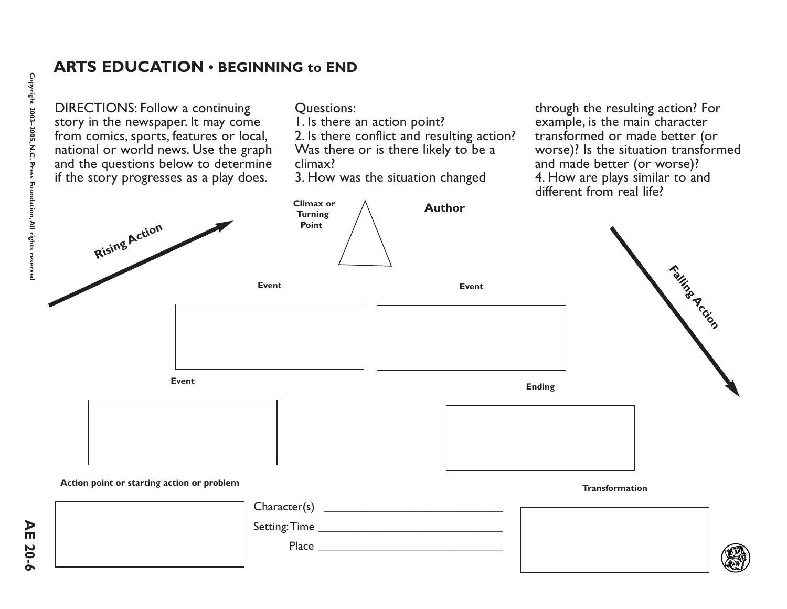#### **ARTS EDUCATION • BEGINNING to END**

DIRECTIONS: Follow a continuing story in the newspaper. It may come from comics, sports, features or local, national or world news. Use the graph and the questions below to determine if the story progresses as a play does.

Questions:

**Climax or**

1. Is there an action point?

2. Is there conflict and resulting action? Was there or is there likely to be a climax?

3. How was the situation changed

through the resulting action? For example, is the main character transformed or made better (or worse)? Is the situation transformed and made better (or worse)? 4. How are plays similar to and different from real life?

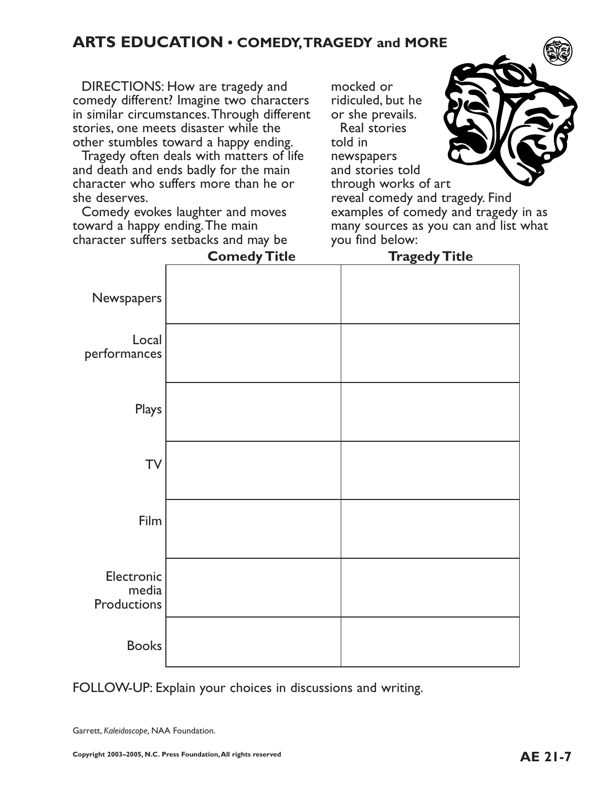## **ARTS EDUCATION • COMEDY,TRAGEDY and MORE**

DIRECTIONS: How are tragedy and comedy different? Imagine two characters in similar circumstances.Through different stories, one meets disaster while the other stumbles toward a happy ending.

Tragedy often deals with matters of life and death and ends badly for the main character who suffers more than he or she deserves.

Comedy evokes laughter and moves toward a happy ending.The main character suffers setbacks and may be mocked or ridiculed, but he or she prevails. Real stories told in newspapers

and stories told

through works of art

reveal comedy and tragedy. Find examples of comedy and tragedy in as many sources as you can and list what you find below:

|                                    | <b>Comedy Title</b> | <b>Tragedy Title</b> |
|------------------------------------|---------------------|----------------------|
| Newspapers                         |                     |                      |
| Local<br>performances              |                     |                      |
| Plays                              |                     |                      |
| <b>TV</b>                          |                     |                      |
| Film                               |                     |                      |
| Electronic<br>media<br>Productions |                     |                      |
| <b>Books</b>                       |                     |                      |

FOLLOW-UP: Explain your choices in discussions and writing.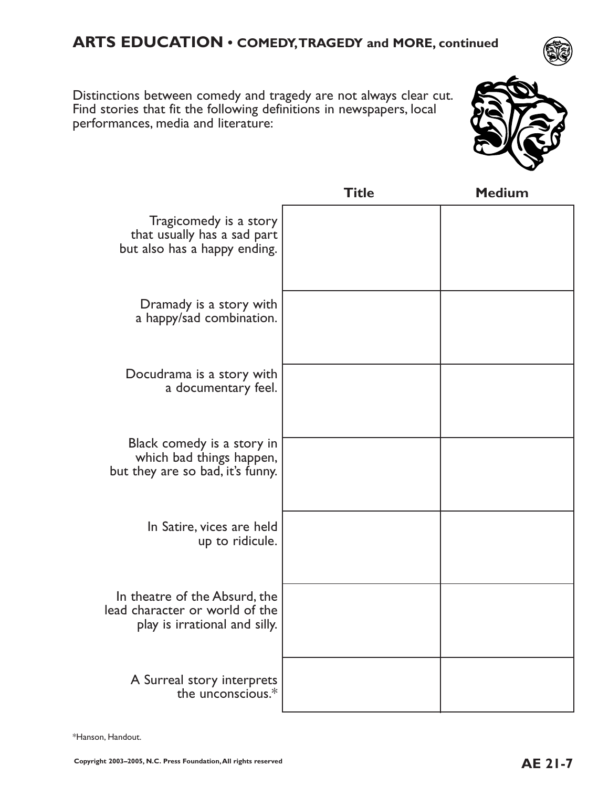## **ARTS EDUCATION • COMEDY,TRAGEDY and MORE, continued**

Distinctions between comedy and tragedy are not always clear cut. Find stories that fit the following definitions in newspapers, local performances, media and literature:



|                                                                                                  | Title | <b>Medium</b> |
|--------------------------------------------------------------------------------------------------|-------|---------------|
| Tragicomedy is a story<br>that usually has a sad part<br>but also has a happy ending.            |       |               |
| Dramady is a story with<br>a happy/sad combination.                                              |       |               |
| Docudrama is a story with<br>a documentary feel.                                                 |       |               |
| Black comedy is a story in<br>which bad things happen,<br>but they are so bad, it's funny.       |       |               |
| In Satire, vices are held<br>up to ridicule.                                                     |       |               |
| In theatre of the Absurd, the<br>lead character or world of the<br>play is irrational and silly. |       |               |
| A Surreal story interprets<br>the unconscious.*                                                  |       |               |

\*Hanson, Handout.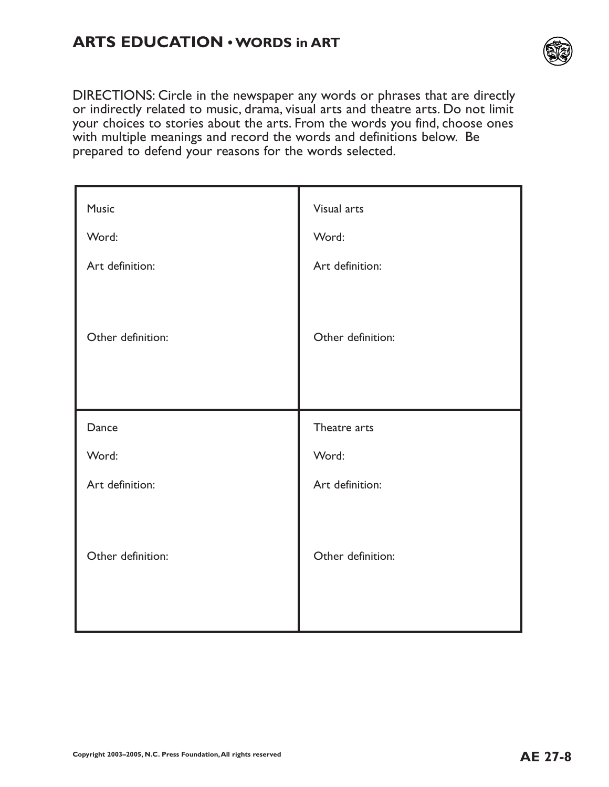# **ARTS EDUCATION • WORDS in ART**



DIRECTIONS: Circle in the newspaper any words or phrases that are directly or indirectly related to music, drama, visual arts and theatre arts. Do not limit your choices to stories about the arts. From the words you find, choose ones with multiple meanings and record the words and definitions below. Be prepared to defend your reasons for the words selected.

| Music             | Visual arts       |
|-------------------|-------------------|
| Word:             | Word:             |
| Art definition:   | Art definition:   |
|                   |                   |
| Other definition: | Other definition: |
|                   |                   |
|                   |                   |
|                   |                   |
| Dance             | Theatre arts      |
| Word:             | Word:             |
| Art definition:   | Art definition:   |
|                   |                   |
|                   |                   |
| Other definition: | Other definition: |
|                   |                   |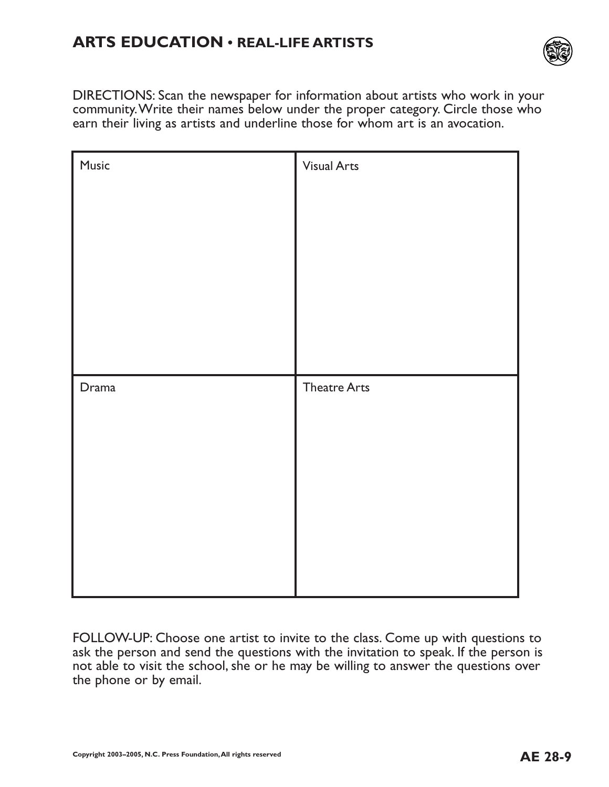# **ARTS EDUCATION • REAL-LIFE ARTISTS**



DIRECTIONS: Scan the newspaper for information about artists who work in your community.Write their names below under the proper category. Circle those who earn their living as artists and underline those for whom art is an avocation.

| Music | <b>Visual Arts</b>  |
|-------|---------------------|
|       |                     |
|       |                     |
|       |                     |
|       |                     |
| Drama | <b>Theatre Arts</b> |
|       |                     |
|       |                     |
|       |                     |
|       |                     |
|       |                     |

FOLLOW-UP: Choose one artist to invite to the class. Come up with questions to ask the person and send the questions with the invitation to speak. If the person is not able to visit the school, she or he may be willing to answer the questions over the phone or by email.